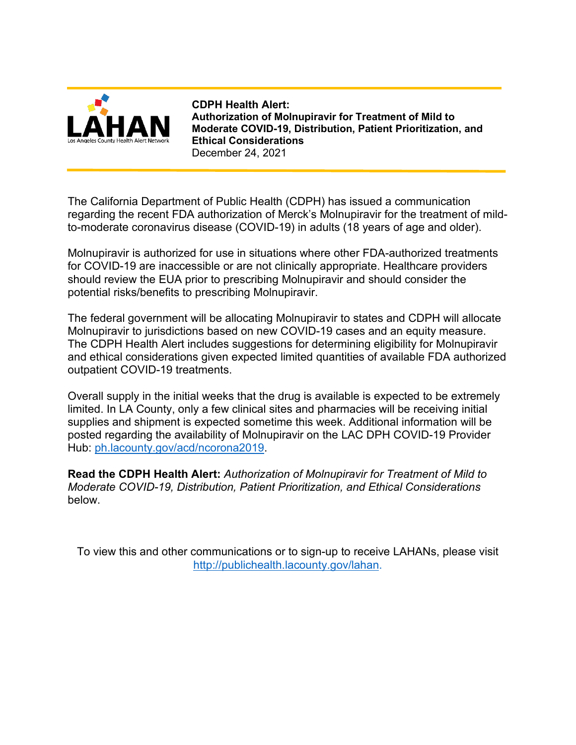

**CDPH Health Alert: Authorization of Molnupiravir for Treatment of Mild to Moderate COVID-19, Distribution, Patient Prioritization, and Ethical Considerations** December 24, 2021

The California Department of Public Health (CDPH) has issued a communication regarding the recent FDA authorization of Merck's Molnupiravir for the treatment of mildto-moderate coronavirus disease (COVID-19) in adults (18 years of age and older).

Molnupiravir is authorized for use in situations where other FDA-authorized treatments for COVID-19 are inaccessible or are not clinically appropriate. Healthcare providers should review the EUA prior to prescribing Molnupiravir and should consider the potential risks/benefits to prescribing Molnupiravir.

The federal government will be allocating Molnupiravir to states and CDPH will allocate Molnupiravir to jurisdictions based on new COVID-19 cases and an equity measure. The CDPH Health Alert includes suggestions for determining eligibility for Molnupiravir and ethical considerations given expected limited quantities of available FDA authorized outpatient COVID-19 treatments.

Overall supply in the initial weeks that the drug is available is expected to be extremely limited. In LA County, only a few clinical sites and pharmacies will be receiving initial supplies and shipment is expected sometime this week. Additional information will be posted regarding the availability of Molnupiravir on the LAC DPH COVID-19 Provider Hub: [ph.lacounty.gov/acd/ncorona2019.](http://publichealth.lacounty.gov/acd/ncorona2019/)

**Read the CDPH Health Alert:** *Authorization of Molnupiravir for Treatment of Mild to Moderate COVID-19, Distribution, Patient Prioritization, and Ethical Considerations* below.

To view this and other communications or to sign-up to receive LAHANs, please visit [http://publichealth.lacounty.gov/lahan.](http://publichealth.lacounty.gov/lahan)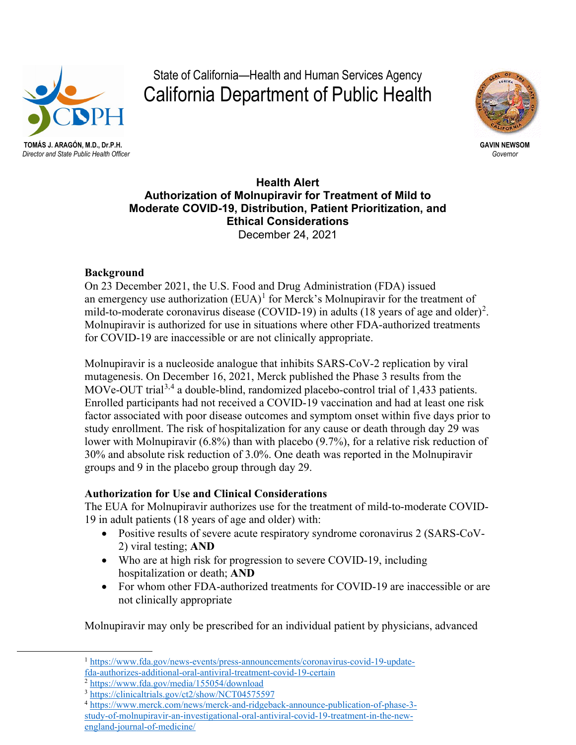

**TOMÁS J. ARAGÓN, M.D., Dr.P.H. GAVIN NEWSOM**

# State of California—Health and Human Services Agency California Department of Public Health



*Director and State Public Health Officer Governor*

**Health Alert Authorization of Molnupiravir for Treatment of Mild to Moderate COVID-19, Distribution, Patient Prioritization, and Ethical Considerations** December 24, 2021

## **Background**

On 23 December 2021, the U.S. Food and Drug Administration (FDA) issued an emergency use authorization  $(EUA)^1$  $(EUA)^1$  for Merck's Molnupiravir for the treatment of mild-to-moderate coronavirus disease (COVID-19) in adults (18 years of age and older)<sup>[2](#page-1-1)</sup>. Molnupiravir is authorized for use in situations where other FDA-authorized treatments for COVID-19 are inaccessible or are not clinically appropriate.

Molnupiravir is a nucleoside analogue that inhibits SARS-CoV-2 replication by viral mutagenesis. On December 16, 2021, Merck published the Phase 3 results from the MOVe-OUT trial<sup>[3,](#page-1-2)[4](#page-1-3)</sup> a double-blind, randomized placebo-control trial of 1,433 patients. Enrolled participants had not received a COVID-19 vaccination and had at least one risk factor associated with poor disease outcomes and symptom onset within five days prior to study enrollment. The risk of hospitalization for any cause or death through day 29 was lower with Molnupiravir (6.8%) than with placebo (9.7%), for a relative risk reduction of 30% and absolute risk reduction of 3.0%. One death was reported in the Molnupiravir groups and 9 in the placebo group through day 29.

## **Authorization for Use and Clinical Considerations**

The EUA for Molnupiravir authorizes use for the treatment of mild-to-moderate COVID-19 in adult patients (18 years of age and older) with:

- Positive results of severe acute respiratory syndrome coronavirus 2 (SARS-CoV-2) viral testing; **AND**
- Who are at high risk for progression to severe COVID-19, including hospitalization or death; **AND**
- For whom other FDA-authorized treatments for COVID-19 are inaccessible or are not clinically appropriate

Molnupiravir may only be prescribed for an individual patient by physicians, advanced

<span id="page-1-0"></span><sup>1</sup> [https://www.fda.gov/news-events/press-announcements/coronavirus-covid-19-update](https://www.fda.gov/news-events/press-announcements/coronavirus-covid-19-update-fda-authorizes-additional-oral-antiviral-treatment-covid-19-certain)[fda-authorizes-additional-oral-antiviral-treatment-covid-19-certain](https://www.fda.gov/news-events/press-announcements/coronavirus-covid-19-update-fda-authorizes-additional-oral-antiviral-treatment-covid-19-certain)

<span id="page-1-1"></span><sup>2</sup> <https://www.fda.gov/media/155054/download>

<sup>&</sup>lt;sup>3</sup> <https://clinicaltrials.gov/ct2/show/NCT04575597>

<span id="page-1-3"></span><span id="page-1-2"></span><sup>4</sup> [https://www.merck.com/news/merck-and-ridgeback-announce-publication-of-phase-3](https://www.merck.com/news/merck-and-ridgeback-announce-publication-of-phase-3-study-of-molnupiravir-an-investigational-oral-antiviral-covid-19-treatment-in-the-new-england-journal-of-medicine/) [study-of-molnupiravir-an-investigational-oral-antiviral-covid-19-treatment-in-the-new](https://www.merck.com/news/merck-and-ridgeback-announce-publication-of-phase-3-study-of-molnupiravir-an-investigational-oral-antiviral-covid-19-treatment-in-the-new-england-journal-of-medicine/)[england-journal-of-medicine/](https://www.merck.com/news/merck-and-ridgeback-announce-publication-of-phase-3-study-of-molnupiravir-an-investigational-oral-antiviral-covid-19-treatment-in-the-new-england-journal-of-medicine/)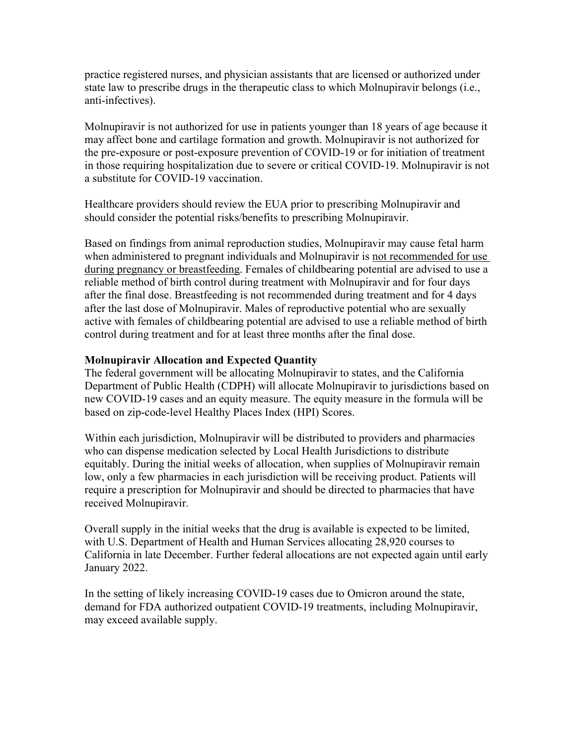practice registered nurses, and physician assistants that are licensed or authorized under state law to prescribe drugs in the therapeutic class to which Molnupiravir belongs (i.e., anti-infectives).

Molnupiravir is not authorized for use in patients younger than 18 years of age because it may affect bone and cartilage formation and growth. Molnupiravir is not authorized for the pre-exposure or post-exposure prevention of COVID-19 or for initiation of treatment in those requiring hospitalization due to severe or critical COVID-19. Molnupiravir is not a substitute for COVID-19 vaccination.

Healthcare providers should review the EUA prior to prescribing Molnupiravir and should consider the potential risks/benefits to prescribing Molnupiravir.

Based on findings from animal reproduction studies, Molnupiravir may cause fetal harm when administered to pregnant individuals and Molnupiravir is not recommended for use during pregnancy or breastfeeding. Females of childbearing potential are advised to use a reliable method of birth control during treatment with Molnupiravir and for four days after the final dose. Breastfeeding is not recommended during treatment and for 4 days after the last dose of Molnupiravir. Males of reproductive potential who are sexually active with females of childbearing potential are advised to use a reliable method of birth control during treatment and for at least three months after the final dose.

#### **Molnupiravir Allocation and Expected Quantity**

The federal government will be allocating Molnupiravir to states, and the California Department of Public Health (CDPH) will allocate Molnupiravir to jurisdictions based on new COVID-19 cases and an equity measure. The equity measure in the formula will be based on zip-code-level Healthy Places Index (HPI) Scores.

Within each jurisdiction, Molnupiravir will be distributed to providers and pharmacies who can dispense medication selected by Local Health Jurisdictions to distribute equitably. During the initial weeks of allocation, when supplies of Molnupiravir remain low, only a few pharmacies in each jurisdiction will be receiving product. Patients will require a prescription for Molnupiravir and should be directed to pharmacies that have received Molnupiravir.

Overall supply in the initial weeks that the drug is available is expected to be limited, with U.S. Department of Health and Human Services allocating 28,920 courses to California in late December. Further federal allocations are not expected again until early January 2022.

In the setting of likely increasing COVID-19 cases due to Omicron around the state, demand for FDA authorized outpatient COVID-19 treatments, including Molnupiravir, may exceed available supply.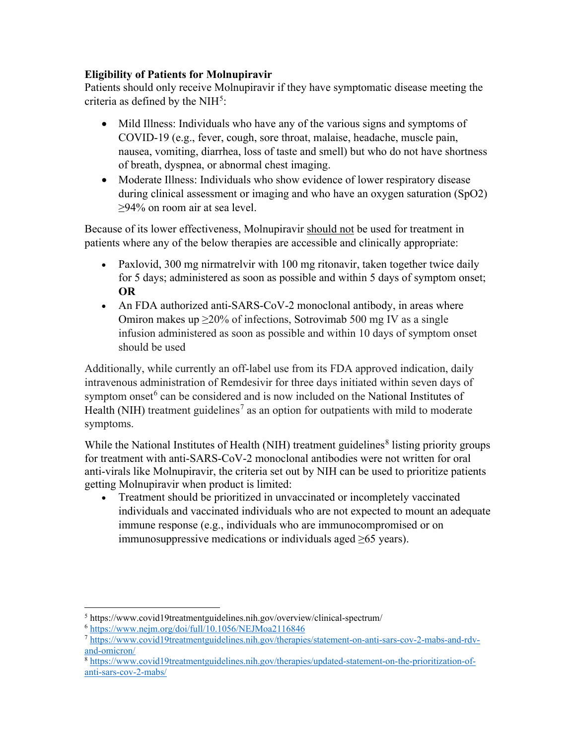## **Eligibility of Patients for Molnupiravir**

Patients should only receive Molnupiravir if they have symptomatic disease meeting the criteria as defined by the NIH $5$ :

- Mild Illness: Individuals who have any of the various signs and symptoms of COVID-19 (e.g., fever, cough, sore throat, malaise, headache, muscle pain, nausea, vomiting, diarrhea, loss of taste and smell) but who do not have shortness of breath, dyspnea, or abnormal chest imaging.
- Moderate Illness: Individuals who show evidence of lower respiratory disease during clinical assessment or imaging and who have an oxygen saturation (SpO2) ≥94% on room air at sea level.

Because of its lower effectiveness, Molnupiravir should not be used for treatment in patients where any of the below therapies are accessible and clinically appropriate:

- Paxlovid, 300 mg nirmatrelvir with 100 mg ritonavir, taken together twice daily for 5 days; administered as soon as possible and within 5 days of symptom onset; **OR**
- An FDA authorized anti-SARS-CoV-2 monoclonal antibody, in areas where Omiron makes up  $\geq$ 20% of infections, Sotrovimab 500 mg IV as a single infusion administered as soon as possible and within 10 days of symptom onset should be used

Additionally, while currently an off-label use from its FDA approved indication, daily intravenous administration of Remdesivir for three days initiated within seven days of symptom onset $6$  can be considered and is now included on the National Institutes of Health (NIH) treatment guidelines<sup>[7](#page-3-2)</sup> as an option for outpatients with mild to moderate symptoms.

While the National Institutes of Health (NIH) treatment guidelines<sup>[8](#page-3-3)</sup> listing priority groups for treatment with anti-SARS-CoV-2 monoclonal antibodies were not written for oral anti-virals like Molnupiravir, the criteria set out by NIH can be used to prioritize patients getting Molnupiravir when product is limited:

• Treatment should be prioritized in unvaccinated or incompletely vaccinated individuals and vaccinated individuals who are not expected to mount an adequate immune response (e.g., individuals who are immunocompromised or on immunosuppressive medications or individuals aged  $\geq 65$  years).

<span id="page-3-0"></span><sup>5</sup> https://www.covid19treatmentguidelines.nih.gov/overview/clinical-spectrum/

 $6$  <https://www.nejm.org/doi/full/10.1056/NEJMoa2116846>

<span id="page-3-2"></span><span id="page-3-1"></span><sup>7</sup> [https://www.covid19treatmentguidelines.nih.gov/therapies/statement-on-anti-sars-cov-2-mabs-and-rdv](https://www.covid19treatmentguidelines.nih.gov/therapies/statement-on-anti-sars-cov-2-mabs-and-rdv-and-omicron/)[and-omicron/](https://www.covid19treatmentguidelines.nih.gov/therapies/statement-on-anti-sars-cov-2-mabs-and-rdv-and-omicron/)

<span id="page-3-3"></span><sup>8</sup> [https://www.covid19treatmentguidelines.nih.gov/therapies/updated-statement-on-the-prioritization-of](https://www.covid19treatmentguidelines.nih.gov/therapies/updated-statement-on-the-prioritization-of-anti-sars-cov-2-mabs/)[anti-sars-cov-2-mabs/](https://www.covid19treatmentguidelines.nih.gov/therapies/updated-statement-on-the-prioritization-of-anti-sars-cov-2-mabs/)